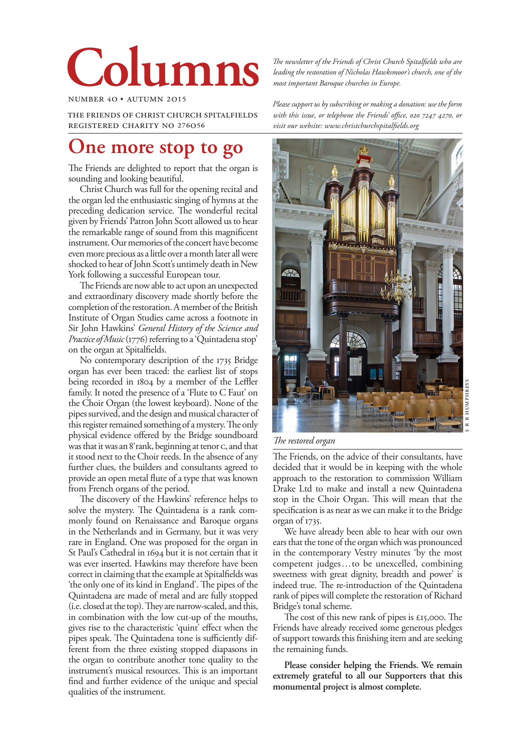# **Columns**

number 4o • autumn 2o15

the friends of christ church spitalfields registered charity no 276o56

# **One more stop to go**

The Friends are delighted to report that the organ is sounding and looking beautiful.

Christ Church was full for the opening recital and the organ led the enthusiastic singing of hymns at the preceding dedication service. The wonderful recital given by Friends' Patron John Scott allowed us to hear the remarkable range of sound from this magnificent instrument. Our memories of the concert have become even more precious as a little over a month later all were shocked to hear of John Scott's untimely death in New York following a successful European tour.

The Friends are now able to act upon an unexpected and extraordinary discovery made shortly before the completion of the restoration. A member of the British Institute of Organ Studies came across a footnote in Sir John Hawkins' *General History of the Science and Practice of Music* (1776) referring to a 'Quintadena stop' on the organ at Spitalfields.

No contemporary description of the 1735 Bridge organ has ever been traced: the earliest list of stops being recorded in 1804 by a member of the Leffler family. It noted the presence of a 'Flute to C Faut' on the Choir Organ (the lowest keyboard). None of the pipes survived, and the design and musical character of this register remained something of a mystery. The only physical evidence offered by the Bridge soundboard was that it was an 8' rank, beginning at tenor c, and that it stood next to the Choir reeds. In the absence of any further clues, the builders and consultants agreed to provide an open metal flute of a type that was known from French organs of the period.

The discovery of the Hawkins' reference helps to solve the mystery. The Quintadena is a rank commonly found on Renaissance and Baroque organs in the Netherlands and in Germany, but it was very rare in England. One was proposed for the organ in St Paul's Cathedral in 1694 but it is not certain that it was ever inserted. Hawkins may therefore have been correct in claiming that the example at Spitalfields was 'the only one of its kind in England'. The pipes of the Quintadena are made of metal and are fully stopped (i.e. closed at the top). They are narrow-scaled, and this, in combination with the low cut-up of the mouths, gives rise to the characteristic 'quint' effect when the pipes speak. The Quintadena tone is sufficiently different from the three existing stopped diapasons in the organ to contribute another tone quality to the instrument's musical resources. This is an important find and further evidence of the unique and special qualities of the instrument.

*The newsletter of the Friends of Christ Church Spitalfields who are leading the restoration of Nicholas Hawksmoor's church, one of the most important Baroque churches in Europe.*

*Please support us by subscribing or making a donation: use the form*  with this issue, or telephone the Friends' office, 020 7247 4270, or *visit our website: www.christchurchspitalfields.org*



*The restored organ*

The Friends, on the advice of their consultants, have decided that it would be in keeping with the whole approach to the restoration to commission William Drake Ltd to make and install a new Quintadena stop in the Choir Organ. This will mean that the specification is as near as we can make it to the Bridge organ of 1735.

We have already been able to hear with our own ears that the tone of the organ which was pronounced in the contemporary Vestry minutes 'by the most competent judges…to be unexcelled, combining sweetness with great dignity, breadth and power' is indeed true. The re-introduction of the Quintadena rank of pipes will complete the restoration of Richard Bridge's tonal scheme.

The cost of this new rank of pipes is £15,000. The Friends have already received some generous pledges of support towards this finishing item and are seeking the remaining funds.

**Please consider helping the Friends. We remain extremely grateful to all our Supporters that this monumental project is almost complete.**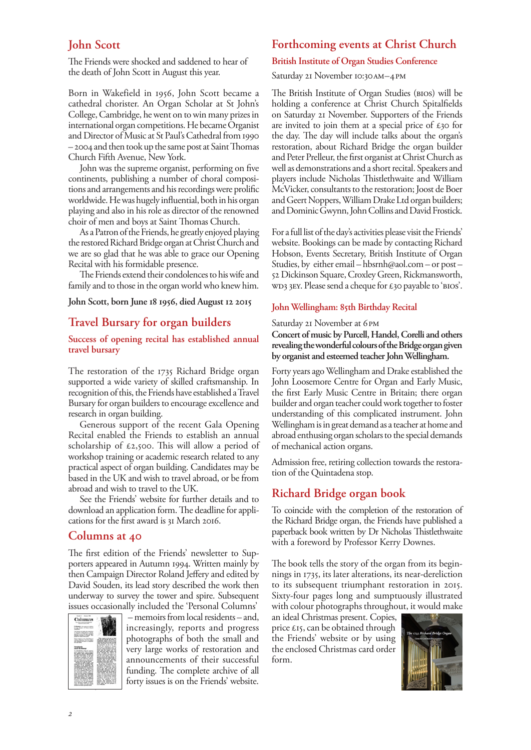# **John Scott**

The Friends were shocked and saddened to hear of the death of John Scott in August this year.

Born in Wakefield in 1956, John Scott became a cathedral chorister. An Organ Scholar at St John's College, Cambridge, he went on to win many prizes in international organ competitions. He became Organist and Director of Music at St Paul's Cathedral from 1990 – 2004 and then took up the same post at Saint Thomas Church Fifth Avenue, New York.

John was the supreme organist, performing on five continents, publishing a number of choral compositions and arrangements and his recordings were prolific worldwide. He was hugely influential, both in his organ playing and also in his role as director of the renowned choir of men and boys at Saint Thomas Church.

As a Patron of the Friends, he greatly enjoyed playing the restored Richard Bridge organ at Christ Church and we are so glad that he was able to grace our Opening Recital with his formidable presence.

The Friends extend their condolences to his wife and family and to those in the organ world who knew him.

# **John Scott, born June 18 1956, died August 12 2015**

# **Travel Bursary for organ builders**

# **Success of opening recital has established annual travel bursary**

The restoration of the 1735 Richard Bridge organ supported a wide variety of skilled craftsmanship. In recognition of this, the Friends have established a Travel Bursary for organ builders to encourage excellence and research in organ building.

Generous support of the recent Gala Opening Recital enabled the Friends to establish an annual scholarship of £2,500. This will allow a period of workshop training or academic research related to any practical aspect of organ building. Candidates may be based in the UK and wish to travel abroad, or be from abroad and wish to travel to the UK.

See the Friends' website for further details and to download an application form. The deadline for applications for the first award is 31 March 2016.

# **Columns at 40**

The first edition of the Friends' newsletter to Supporters appeared in Autumn 1994. Written mainly by then Campaign Director Roland Jeffery and edited by David Souden, its lead story described the work then underway to survey the tower and spire. Subsequent issues occasionally included the 'Personal Columns'



 – memoirs from local residents – and, increasingly, reports and progress photographs of both the small and very large works of restoration and announcements of their successful funding. The complete archive of all forty issues is on the Friends' website.

# **Forthcoming events at Christ Church**

# **British Institute of Organ Studies Conference**

Saturday 21 November 10:30 AM-4 PM

The British Institute of Organ Studies (bios) will be holding a conference at Christ Church Spitalfields on Saturday 21 November. Supporters of the Friends are invited to join them at a special price of £30 for the day. The day will include talks about the organ's restoration, about Richard Bridge the organ builder and Peter Prelleur, the first organist at Christ Church as well as demonstrations and a short recital. Speakers and players include Nicholas Thistlethwaite and William McVicker, consultants to the restoration; Joost de Boer and Geert Noppers, William Drake Ltd organ builders; and Dominic Gwynn, John Collins and David Frostick.

For a full list of the day's activities please visit the Friends' website. Bookings can be made by contacting Richard Hobson, Events Secretary, British Institute of Organ Studies, by either email – hbsrnh@aol.com – or post – 52 Dickinson Square, Croxley Green, Rickmansworth, wD3 3EY. Please send a cheque for £30 payable to 'BIOS'.

## **John Wellingham: 85th Birthday Recital**

#### Saturday 21 November at 6PM

**Concert of music by Purcell, Handel, Corelli and others revealing the wonderful colours of the Bridge organ given by organist and esteemed teacher John Wellingham.**

Forty years ago Wellingham and Drake established the John Loosemore Centre for Organ and Early Music, the first Early Music Centre in Britain; there organ builder and organ teacher could work together to foster understanding of this complicated instrument. John Wellingham is in great demand as a teacher at home and abroad enthusing organ scholars to the special demands of mechanical action organs.

Admission free, retiring collection towards the restoration of the Quintadena stop.

# **Richard Bridge organ book**

To coincide with the completion of the restoration of the Richard Bridge organ, the Friends have published a paperback book written by Dr Nicholas Thistlethwaite with a foreword by Professor Kerry Downes.

The book tells the story of the organ from its beginnings in 1735, its later alterations, its near-dereliction to its subsequent triumphant restoration in 2015. Sixty-four pages long and sumptuously illustrated with colour photographs throughout, it would make

an ideal Christmas present. Copies, price £15, can be obtained through the Friends' website or by using the enclosed Christmas card order form.

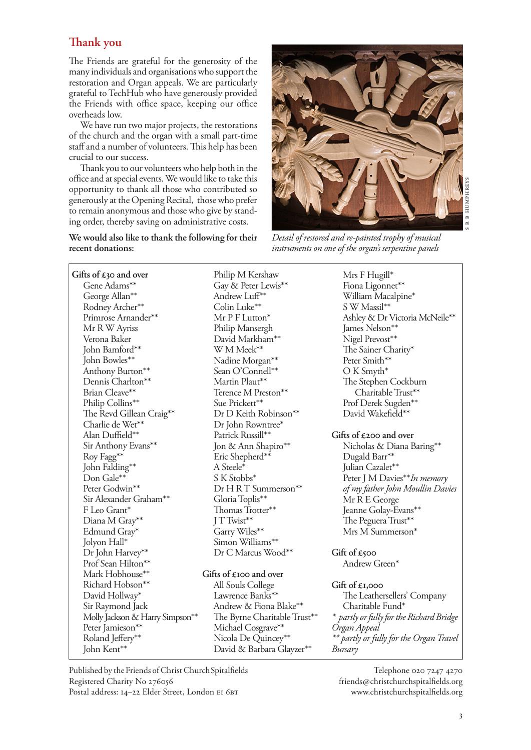# **Thank you**

The Friends are grateful for the generosity of the many individuals and organisations who support the restoration and Organ appeals. We are particularly grateful to TechHub who have generously provided the Friends with office space, keeping our office overheads low.

We have run two major projects, the restorations of the church and the organ with a small part-time staff and a number of volunteers. This help has been crucial to our success.

Thank you to our volunteers who help both in the office and at special events. We would like to take this opportunity to thank all those who contributed so generously at the Opening Recital, those who prefer to remain anonymous and those who give by standing order, thereby saving on administrative costs.

# **We would also like to thank the following for their recent donations:**



*Detail of restored and re-painted trophy of musical instruments on one of the organ's serpentine panels*

**Gifts of £30 and over** Gene Adams\*\* George Allan\*\* Rodney Archer\*\* Primrose Arnander\*\* Mr R W Ayriss Verona Baker John Bamford\*\* John Bowles\*\* Anthony Burton\*\* Dennis Charlton\*\* Brian Cleave\*\* Philip Collins\*\* The Revd Gillean Craig\*\* Charlie de Wet\*\* Alan Duffield\*\* Sir Anthony Evans\*\* Roy Fagg\*\* John Falding\*\* Don Gale\*\* Peter Godwin\*\* Sir Alexander Graham\*\* F Leo Grant\* Diana M Gray\*\* Edmund Gray\* Jolyon Hall\* Dr John Harvey\*\* Prof Sean Hilton<sup>\*\*</sup> Mark Hobhouse\*\* Richard Hobson\*\* David Hollway\* Sir Raymond Jack Molly Jackson & Harry Simpson\*\* Peter Jamieson\*\* Roland Jeffery\*\* John Kent\*\*

Philip M Kershaw Gay & Peter Lewis\*\* Andrew Luff\*\* Colin Luke\*\* Mr P F Lutton\* Philip Mansergh David Markham\*\* W M Meek\*\* Nadine Morgan\*\* Sean O'Connell\*\* Martin Plaut\*\* Terence M Preston\*\* Sue Prickett\*\* Dr D Keith Robinson\*\* Dr John Rowntree\* Patrick Russill\*\* Jon & Ann Shapiro\*\* Eric Shepherd\*\* A Steele\* S K Stobbs\* Dr H R T Summerson\*\* Gloria Toplis\*\* Thomas Trotter\*\* J T Twist\*\* Garry Wiles\*\* Simon Williams\*\* Dr C Marcus Wood\*\*

# **Gifts of £100 and over**

All Souls College Lawrence Banks<sup>\*\*</sup> Andrew & Fiona Blake\*\* The Byrne Charitable Trust\*\* Michael Cosgrave\*\* Nicola De Quincey\*\* David & Barbara Glayzer\*\*

Mrs F Hugill\* Fiona Ligonnet\*\* William Macalpine\* S W Massil\*\* Ashley & Dr Victoria McNeile\*\* James Nelson\*\* Nigel Prevost\*\* The Sainer Charity\* Peter Smith\*\* O K Smyth\* The Stephen Cockburn Charitable Trust\*\* Prof Derek Sugden\*\* David Wakefield\*\*

## **Gifts of £200 and over**

Nicholas & Diana Baring\*\* Dugald Barr\*\* Julian Cazalet\*\* Peter J M Davies\*\**In memory of my father John Moullin Davies*  Mr R E George Jeanne Golay-Evans\*\* The Peguera Trust\*\* Mrs M Summerson\*

**Gift of £500** Andrew Green\*

**Gift of £1,000** The Leathersellers' Company Charitable Fund\* *\* partly or fully for the Richard Bridge Organ Appeal \*\* partly or fully for the Organ Travel Bursary*

Published by the Friends of Christ Church Spitalfields Registered Charity No Postal address: 14-22 Elder Street, London EI 6BT

Telephone 020 7247 4270 friends@christchurchspitalfields.org www.christchurchspitalfields.org